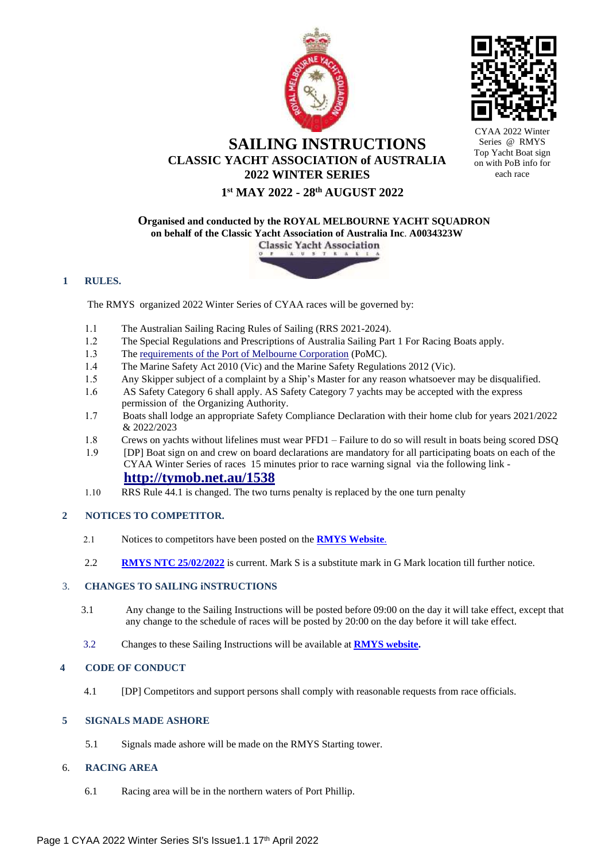



CYAA 2022 Series @ RMYS Top Yacht Boat sign on with PoB info for each race

# **SAILING INSTRUCTIONS CLASSIC YACHT ASSOCIATION of AUSTRALIA 2022 WINTER SERIES**

# **1 st MAY 2022 - 28th AUGUST 2022**

**Organised and conducted by the ROYAL MELBOURNE YACHT SQUADRON on behalf of the Classic Yacht Association of Australia Inc**. **A0034323W**



### **1 RULES.**

The RMYS organized 2022 Winter Series of CYAA races will be governed by:

- The Australian Sailing Racing Rules of Sailing (RRS 2021-2024).
- 1.2 The Special Regulations and Prescriptions of Australia Sailing Part 1 For Racing Boats apply.
- 1.3 The <u>[requirements](https://www.vicports.vic.gov.au/publications/Documents/hm-directions-11th-edition.pdf) of the Port of Melbourne Corporation</u> (PoMC).
- The Marine Safety Act 2010 (Vic) and the Marine Safety Regulations 2012 (Vic).
- Any Skipper subject of a complaint by a Ship's Master for any reason whatsoever may be disqualified.
- AS Safety Category 6 shall apply. AS Safety Category 7 yachts may be accepted with the express permission of the Organizing Authority.
- Boats shall lodge an appropriate Safety Compliance Declaration with their home club for years 2021/2022 & 2022/2023
- Crews on yachts without lifelines must wear PFD1 Failure to do so will result in boats being scored DSQ
- [DP] Boat sign on and crew on board declarations are mandatory for all participating boats on each of the CYAA Winter Series of races 15 minutes prior to race warning signal via the following link **[http://tymob.net.au/15](http://tymob.net.au/1538)38**
- RRS Rule 44.1 is changed. The two turns penalty is replaced by the one turn penalty

## **2 NOTICES TO COMPETITOR.**

- Notices to competitors have been posted on the **[RMYS](https://www.rmys.com.au/sailing/racing/notice-of-race/) We[bsite](https://www.rmys.com.au/sailing/racing/notice-of-race/)**[.](https://www.rmys.com.au/sailing/racing/notice-of-race/)
- 2.2 **RMYS NTC [25/02/2022](https://www.rmys.com.au/notice-to-competitors-rmys-g-mark/)** is current. Mark S is a substitute mark in G Mark location till further notice.

## 3. **CHANGES TO SAILING iNSTRUCTIONS**

- 3.1 Any change to the Sailing Instructions will be posted before 09:00 on the day it will take effect, except that any change to the schedule of races will be posted by 20:00 on the day before it will take effect.
- 3.2 Changes to these Sailing Instructions will be available at **[RMYS](https://www.rmys.com.au/sailing/racing/notice-of-race/) we[bsite.](https://www.rmys.com.au/sailing/racing/notice-of-race/)**

## **4 CODE OF CONDUCT**

4.1 [DP] Competitors and support persons shall comply with reasonable requests from race officials.

## **5 SIGNALS MADE ASHORE**

5.1 Signals made ashore will be made on the RMYS Starting tower.

## 6. **RACING AREA**

6.1 Racing area will be in the northern waters of Port Phillip.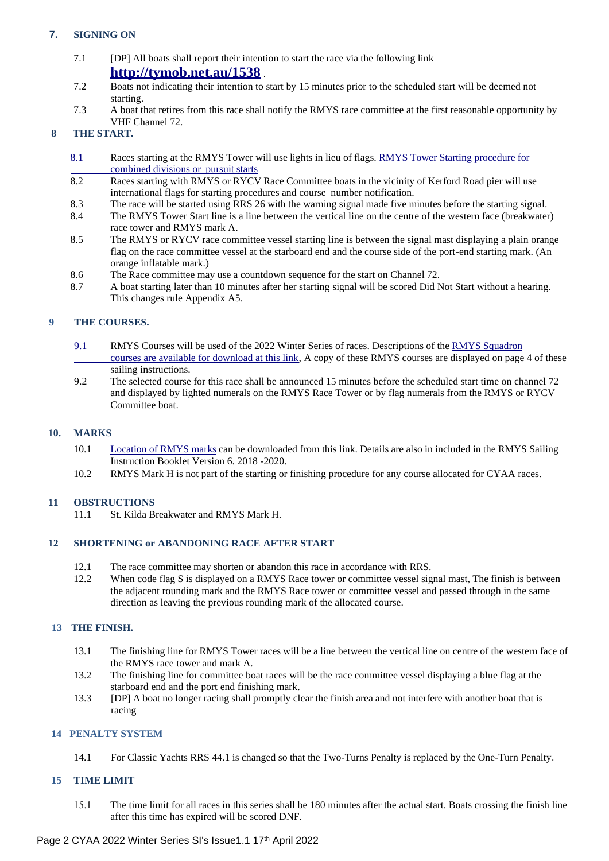# **7. SIGNING ON**

- 7.1 [DP] All boats shall report their intention to start the race via the following link **[http://tymob.net.au/15](http://tymob.net.au/1538)38** .
- 7.2 Boats not indicating their intention to start by 15 minutes prior to the scheduled start will be deemed not starting.
- 7.3 A boat that retires from this race shall notify the RMYS race committee at the first reasonable opportunity by VHF Channel 72.

# **8 THE START.**

- 8.1 Races starting at the RMYS Tower will use lights in lieu of flags. RMYS Tower Starting [procedure](https://www.rmys.com.au/wp-content/uploads/2020/10/Combined-Start-LightsV3.pdf) for [combined](https://www.rmys.com.au/wp-content/uploads/2020/10/Combined-Start-LightsV3.pdf) divisions or pursuit starts
- 8.2 Races starting with RMYS or RYCV Race Committee boats in the vicinity of Kerford Road pier will use international flags for starting procedures and course number notification.
- 8.3 The race will be started using RRS 26 with the warning signal made five minutes before the starting signal.
- 8.4 The RMYS Tower Start line is a line between the vertical line on the centre of the western face (breakwater) race tower and RMYS mark A.
- 8.5 The RMYS or RYCV race committee vessel starting line is between the signal mast displaying a plain orange flag on the race committee vessel at the starboard end and the course side of the port-end starting mark. (An orange inflatable mark.)
- 8.6 The Race committee may use a countdown sequence for the start on Channel 72.
- 8.7 A boat starting later than 10 minutes after her starting signal will be scored Did Not Start without a hearing. This changes rule Appendix A5.

## **9 THE COURSES.**

- 9.1 RMYS Courses will be used of the 2022 Winter Series of races. Descriptions of the RMYS [Squadron](https://www.rmys.com.au/wp-content/uploads/2020/10/Course-list-27-Oct-2020.pdf) [courses are available for download at this link,](https://www.rmys.com.au/wp-content/uploads/2020/10/Course-list-27-Oct-2020.pdf) A copy of these RMYS courses are displayed on page 4 of these sailing instructions.
- 9.2 The selected course for this race shall be announced 15 minutes before the scheduled start time on channel 72 and displayed by lighted numerals on the RMYS Race Tower or by flag numerals from the RMYS or RYCV Committee boat.

# **10. MARKS**

- 10.1 [Location](https://www.rmys.com.au/wp-content/uploads/2020/07/Race-Marks-Chart-A3.pdf) of RMYS marks can be downloaded from this link. Details are also in included in the RMYS Sailing Instruction Booklet Version 6. 2018 -2020.
- 10.2 RMYS Mark H is not part of the starting or finishing procedure for any course allocated for CYAA races.

## **11 OBSTRUCTIONS**

11.1 St. Kilda Breakwater and RMYS Mark H.

# **12 SHORTENING or ABANDONING RACE AFTER START**

- 12.1 The race committee may shorten or abandon this race in accordance with RRS.
- 12.2 When code flag S is displayed on a RMYS Race tower or committee vessel signal mast, The finish is between the adjacent rounding mark and the RMYS Race tower or committee vessel and passed through in the same direction as leaving the previous rounding mark of the allocated course.

#### **13 THE FINISH.**

- 13.1 The finishing line for RMYS Tower races will be a line between the vertical line on centre of the western face of the RMYS race tower and mark A.
- 13.2 The finishing line for committee boat races will be the race committee vessel displaying a blue flag at the starboard end and the port end finishing mark.
- 13.3 [DP] A boat no longer racing shall promptly clear the finish area and not interfere with another boat that is racing

### **14 PENALTY SYSTEM**

14.1 For Classic Yachts RRS 44.1 is changed so that the Two-Turns Penalty is replaced by the One-Turn Penalty.

## **15 TIME LIMIT**

 The time limit for all races in this series shall be 180 minutes after the actual start. Boats crossing the finish line after this time has expired will be scored DNF.

### Page 2 CYAA 2022 Winter Series SI's Issue1.1 17th April 2022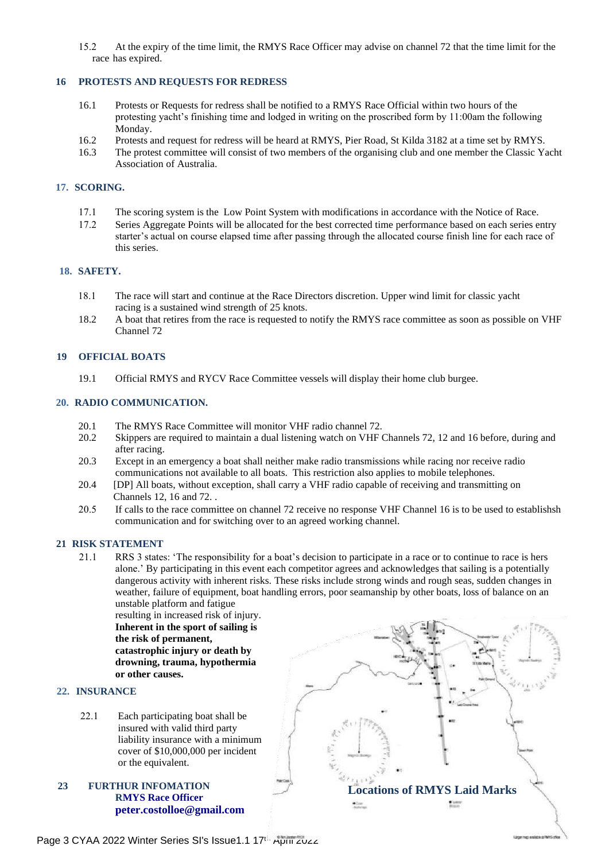15.2 At the expiry of the time limit, the RMYS Race Officer may advise on channel 72 that the time limit for the race has expired.

#### **16 PROTESTS AND REQUESTS FOR REDRESS**

- 16.1 Protests or Requests for redress shall be notified to a RMYS Race Official within two hours of the protesting yacht's finishing time and lodged in writing on the proscribed form by 11:00am the following Monday.
- 16.2 Protests and request for redress will be heard at RMYS, Pier Road, St Kilda 3182 at a time set by RMYS.<br>16.3 The protest committee will consist of two members of the organising club and one member the Classic Ya
- 16.3 The protest committee will consist of two members of the organising club and one member the Classic Yacht Association of Australia.

### **17. SCORING.**

- 17.1 The scoring system is the Low Point System with modifications in accordance with the Notice of Race.
- 17.2 Series Aggregate Points will be allocated for the best corrected time performance based on each series entry starter's actual on course elapsed time after passing through the allocated course finish line for each race of this series.

## **18. SAFETY.**

- The race will start and continue at the Race Directors discretion. Upper wind limit for classic yacht racing is a sustained wind strength of 25 knots.
- 18.2 A boat that retires from the race is requested to notify the RMYS race committee as soon as possible on VHF Channel 72

### **19 OFFICIAL BOATS**

19.1 Official RMYS and RYCV Race Committee vessels will display their home club burgee.

#### **20. RADIO COMMUNICATION.**

- 20.1 The RMYS Race Committee will monitor VHF radio channel 72.<br>20.2 Skippers are required to maintain a dual listening watch on VHF
- Skippers are required to maintain a dual listening watch on VHF Channels 72, 12 and 16 before, during and after racing.
- 20.3 Except in an emergency a boat shall neither make radio transmissions while racing nor receive radio communications not available to all boats. This restriction also applies to mobile telephones.
- 20.4 [DP] All boats, without exception, shall carry a VHF radio capable of receiving and transmitting on Channels 12, 16 and 72. .
- 20.5 If calls to the race committee on channel 72 receive no response VHF Channel 16 is to be used to establishsh communication and for switching over to an agreed working channel.

#### **21 RISK STATEMENT**

 RRS 3 states: 'The responsibility for a boat's decision to participate in a race or to continue to race is hers alone.' By participating in this event each competitor agrees and acknowledges that sailing is a potentially dangerous activity with inherent risks. These risks include strong winds and rough seas, sudden changes in weather, failure of equipment, boat handling errors, poor seamanship by other boats, loss of balance on an unstable platform and fatigue

resulting in increased risk of injury. **Inherent in the sport of sailing is the risk of permanent, catastrophic injury or death by drowning, trauma, hypothermia or other causes.**

#### **22. INSURANCE**

- 22.1 Each participating boat shall be insured with valid third party liability insurance with a minimum cover of \$10,000,000 per incident or the equivalent.
- **23 FURTHUR INFOMATION RMYS Race Officer [peter.costolloe@gmail.com](mailto:peter.costolloe@gmail.com)**